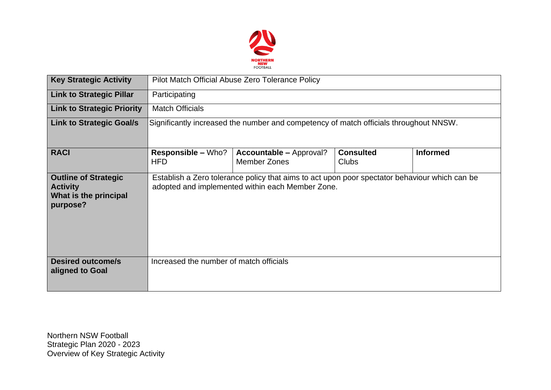

| <b>Key Strategic Activity</b>                                                       | Pilot Match Official Abuse Zero Tolerance Policy                                                                                                  |                                                       |                                  |                 |  |  |  |  |
|-------------------------------------------------------------------------------------|---------------------------------------------------------------------------------------------------------------------------------------------------|-------------------------------------------------------|----------------------------------|-----------------|--|--|--|--|
| <b>Link to Strategic Pillar</b>                                                     | Participating                                                                                                                                     |                                                       |                                  |                 |  |  |  |  |
| <b>Link to Strategic Priority</b>                                                   | <b>Match Officials</b>                                                                                                                            |                                                       |                                  |                 |  |  |  |  |
| <b>Link to Strategic Goal/s</b>                                                     | Significantly increased the number and competency of match officials throughout NNSW.                                                             |                                                       |                                  |                 |  |  |  |  |
| <b>RACI</b>                                                                         | <b>Responsible – Who?</b><br><b>HFD</b>                                                                                                           | <b>Accountable – Approval?</b><br><b>Member Zones</b> | <b>Consulted</b><br><b>Clubs</b> | <b>Informed</b> |  |  |  |  |
| <b>Outline of Strategic</b><br><b>Activity</b><br>What is the principal<br>purpose? | Establish a Zero tolerance policy that aims to act upon poor spectator behaviour which can be<br>adopted and implemented within each Member Zone. |                                                       |                                  |                 |  |  |  |  |
| <b>Desired outcome/s</b><br>aligned to Goal                                         | Increased the number of match officials                                                                                                           |                                                       |                                  |                 |  |  |  |  |

Northern NSW Football Strategic Plan 2020 - 2023 Overview of Key Strategic Activity